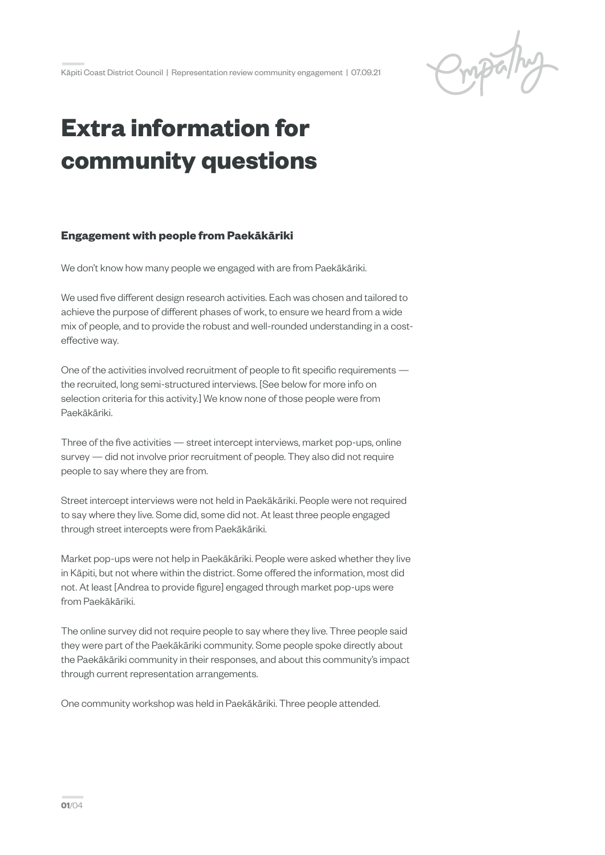Pripally

**—**Kāpiti Coast District Council | Representation review community engagement | 07.09.21

## **Extra information for community questions**

## **Engagement with people from Paekākāriki**

We don't know how many people we engaged with are from Paekākāriki.

We used five different design research activities. Each was chosen and tailored to achieve the purpose of different phases of work, to ensure we heard from a wide mix of people, and to provide the robust and well-rounded understanding in a costeffective way.

One of the activities involved recruitment of people to fit specific requirements the recruited, long semi-structured interviews. [See below for more info on selection criteria for this activity.] We know none of those people were from Paekākāriki.

Three of the five activities — street intercept interviews, market pop-ups, online survey — did not involve prior recruitment of people. They also did not require people to say where they are from.

Street intercept interviews were not held in Paekākāriki. People were not required to say where they live. Some did, some did not. At least three people engaged through street intercepts were from Paekākāriki.

Market pop-ups were not help in Paekākāriki. People were asked whether they live in Kāpiti, but not where within the district. Some offered the information, most did not. At least [Andrea to provide figure] engaged through market pop-ups were from Paekākāriki.

The online survey did not require people to say where they live. Three people said they were part of the Paekākāriki community. Some people spoke directly about the Paekākāriki community in their responses, and about this community's impact through current representation arrangements.

One community workshop was held in Paekākāriki. Three people attended.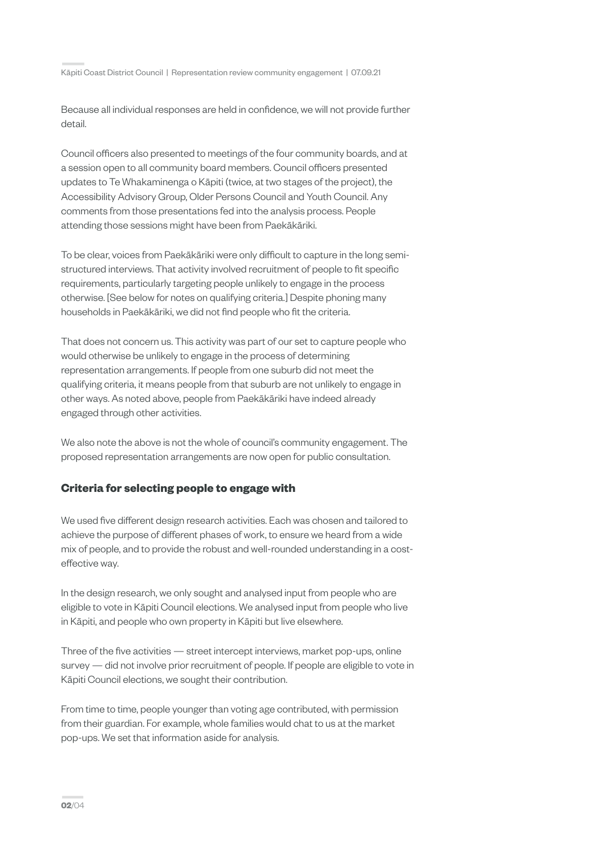**—**Kāpiti Coast District Council | Representation review community engagement | 07.09.21

Because all individual responses are held in confidence, we will not provide further detail.

Council officers also presented to meetings of the four community boards, and at a session open to all community board members. Council officers presented updates to Te Whakaminenga o Kāpiti (twice, at two stages of the project), the Accessibility Advisory Group, Older Persons Council and Youth Council. Any comments from those presentations fed into the analysis process. People attending those sessions might have been from Paekākāriki.

To be clear, voices from Paekākāriki were only difficult to capture in the long semistructured interviews. That activity involved recruitment of people to fit specific requirements, particularly targeting people unlikely to engage in the process otherwise. [See below for notes on qualifying criteria.] Despite phoning many households in Paekākāriki, we did not find people who fit the criteria.

That does not concern us. This activity was part of our set to capture people who would otherwise be unlikely to engage in the process of determining representation arrangements. If people from one suburb did not meet the qualifying criteria, it means people from that suburb are not unlikely to engage in other ways. As noted above, people from Paekākāriki have indeed already engaged through other activities.

We also note the above is not the whole of council's community engagement. The proposed representation arrangements are now open for public consultation.

## **Criteria for selecting people to engage with**

We used five different design research activities. Each was chosen and tailored to achieve the purpose of different phases of work, to ensure we heard from a wide mix of people, and to provide the robust and well-rounded understanding in a costeffective way.

In the design research, we only sought and analysed input from people who are eligible to vote in Kāpiti Council elections. We analysed input from people who live in Kāpiti, and people who own property in Kāpiti but live elsewhere.

Three of the five activities — street intercept interviews, market pop-ups, online survey — did not involve prior recruitment of people. If people are eligible to vote in Kāpiti Council elections, we sought their contribution.

From time to time, people younger than voting age contributed, with permission from their guardian. For example, whole families would chat to us at the market pop-ups. We set that information aside for analysis.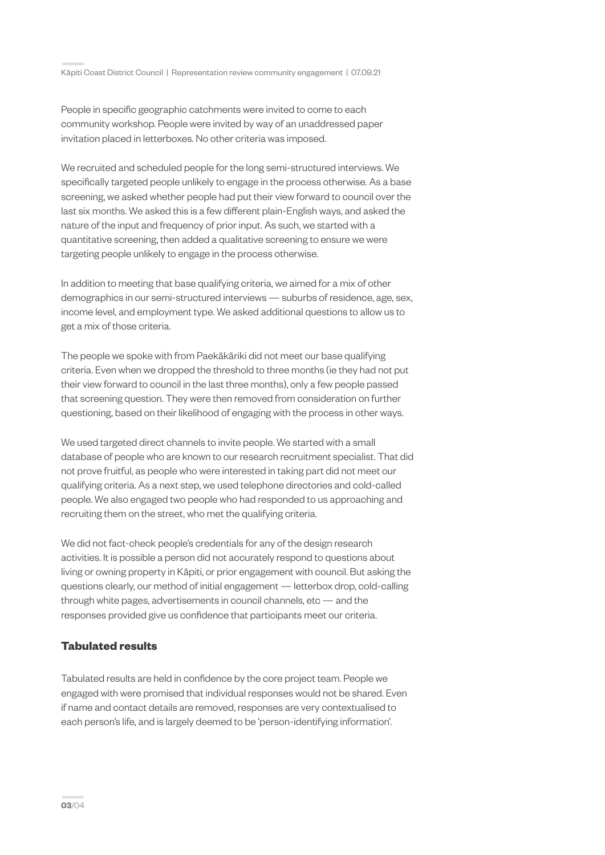People in specific geographic catchments were invited to come to each community workshop. People were invited by way of an unaddressed paper invitation placed in letterboxes. No other criteria was imposed.

We recruited and scheduled people for the long semi-structured interviews. We specifically targeted people unlikely to engage in the process otherwise. As a base screening, we asked whether people had put their view forward to council over the last six months. We asked this is a few different plain-English ways, and asked the nature of the input and frequency of prior input. As such, we started with a quantitative screening, then added a qualitative screening to ensure we were targeting people unlikely to engage in the process otherwise.

In addition to meeting that base qualifying criteria, we aimed for a mix of other demographics in our semi-structured interviews — suburbs of residence, age, sex, income level, and employment type. We asked additional questions to allow us to get a mix of those criteria.

The people we spoke with from Paekākāriki did not meet our base qualifying criteria. Even when we dropped the threshold to three months (ie they had not put their view forward to council in the last three months), only a few people passed that screening question. They were then removed from consideration on further questioning, based on their likelihood of engaging with the process in other ways.

We used targeted direct channels to invite people. We started with a small database of people who are known to our research recruitment specialist. That did not prove fruitful, as people who were interested in taking part did not meet our qualifying criteria. As a next step, we used telephone directories and cold-called people. We also engaged two people who had responded to us approaching and recruiting them on the street, who met the qualifying criteria.

We did not fact-check people's credentials for any of the design research activities. It is possible a person did not accurately respond to questions about living or owning property in Kāpiti, or prior engagement with council. But asking the questions clearly, our method of initial engagement — letterbox drop, cold-calling through white pages, advertisements in council channels, etc — and the responses provided give us confidence that participants meet our criteria.

## **Tabulated results**

Tabulated results are held in confidence by the core project team. People we engaged with were promised that individual responses would not be shared. Even if name and contact details are removed, responses are very contextualised to each person's life, and is largely deemed to be 'person-identifying information'.